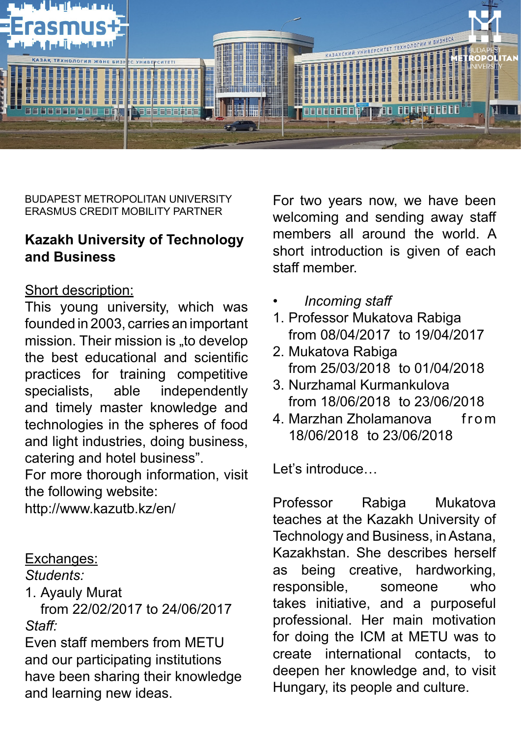

BUDAPEST METROPOLITAN UNIVERSITY ERASMUS CREDIT MOBILITY PARTNER

## **Kazakh University of Technology and Business**

## Short description:

This young university, which was founded in 2003, carries an important mission. Their mission is "to develop the best educational and scientific practices for training competitive specialists, able independently and timely master knowledge and technologies in the spheres of food and light industries, doing business, catering and hotel business".

For more thorough information, visit the following website:

[http://www.kazutb.kz/en/](http://www.kazutb.kz/en/
)

## Exchanges:

*Students:* 

1. Ayauly Murat

from 22/02/2017 to 24/06/2017 *Staff:*

Even staff members from METU and our participating institutions have been sharing their knowledge and learning new ideas.

For two years now, we have been welcoming and sending away staff members all around the world. A short introduction is given of each staff member.

- *• Incoming staff*
- 1. Professor Mukatova Rabiga from 08/04/2017 to 19/04/2017
- 2. Mukatova Rabiga from 25/03/2018 to 01/04/2018
- 3. Nurzhamal Kurmankulova from 18/06/2018 to 23/06/2018
- 4. Marzhan Zholamanova from 18/06/2018 to 23/06/2018

Let's introduce...

Professor Rabiga Mukatova teaches at the Kazakh University of Technology and Business, in Astana, Kazakhstan. She describes herself as being creative, hardworking, responsible, someone who takes initiative, and a purposeful professional. Her main motivation for doing the ICM at METU was to create international contacts, to deepen her knowledge and, to visit Hungary, its people and culture.